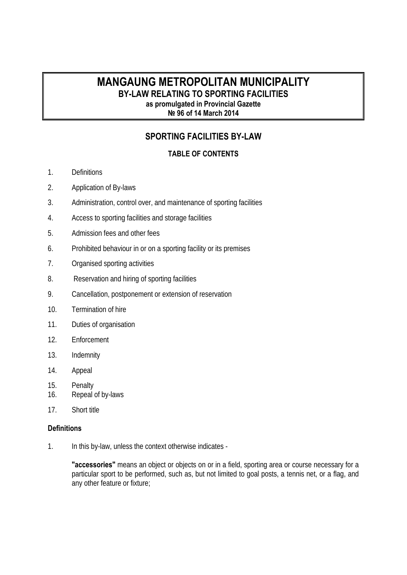## **MANGAUNG METROPOLITAN MUNICIPALITY BY-LAW RELATING TO SPORTING FACILITIES as promulgated in Provincial Gazette № 96 of 14 March 2014**

# **SPORTING FACILITIES BY-LAW**

## **TABLE OF CONTENTS**

- 1. Definitions
- 2. Application of By-laws
- 3. Administration, control over, and maintenance of sporting facilities
- 4. Access to sporting facilities and storage facilities
- 5. Admission fees and other fees
- 6. Prohibited behaviour in or on a sporting facility or its premises
- 7. Organised sporting activities
- 8. Reservation and hiring of sporting facilities
- 9. Cancellation, postponement or extension of reservation
- 10. Termination of hire
- 11. Duties of organisation
- 12. Enforcement
- 13. Indemnity
- 14. Appeal
- 15. Penalty
- 16. Repeal of by-laws
- 17. Short title

#### **Definitions**

1. In this by-law, unless the context otherwise indicates -

**"accessories"** means an object or objects on or in a field, sporting area or course necessary for a particular sport to be performed, such as, but not limited to goal posts, a tennis net, or a flag, and any other feature or fixture;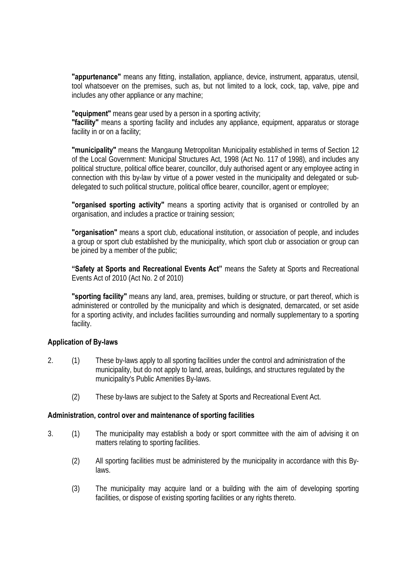**"appurtenance"** means any fitting, installation, appliance, device, instrument, apparatus, utensil, tool whatsoever on the premises, such as, but not limited to a lock, cock, tap, valve, pipe and includes any other appliance or any machine;

**"equipment"** means gear used by a person in a sporting activity;

**"facility"** means a sporting facility and includes any appliance, equipment, apparatus or storage facility in or on a facility;

**"municipality"** means the Mangaung Metropolitan Municipality established in terms of Section 12 of the Local Government: Municipal Structures Act, 1998 (Act No. 117 of 1998), and includes any political structure, political office bearer, councillor, duly authorised agent or any employee acting in connection with this by-law by virtue of a power vested in the municipality and delegated or subdelegated to such political structure, political office bearer, councillor, agent or employee;

**"organised sporting activity"** means a sporting activity that is organised or controlled by an organisation, and includes a practice or training session;

**"organisation"** means a sport club, educational institution, or association of people, and includes a group or sport club established by the municipality, which sport club or association or group can be joined by a member of the public;

**"Safety at Sports and Recreational Events Act"** means the Safety at Sports and Recreational Events Act of 2010 (Act No. 2 of 2010)

**"sporting facility"** means any land, area, premises, building or structure, or part thereof, which is administered or controlled by the municipality and which is designated, demarcated, or set aside for a sporting activity, and includes facilities surrounding and normally supplementary to a sporting facility.

## **Application of By-laws**

- 2. (1) These by-laws apply to all sporting facilities under the control and administration of the municipality, but do not apply to land, areas, buildings, and structures regulated by the municipality's Public Amenities By-laws.
	- (2) These by-laws are subject to the Safety at Sports and Recreational Event Act.

#### **Administration, control over and maintenance of sporting facilities**

- 3. (1) The municipality may establish a body or sport committee with the aim of advising it on matters relating to sporting facilities.
	- (2) All sporting facilities must be administered by the municipality in accordance with this Bylaws.
	- (3) The municipality may acquire land or a building with the aim of developing sporting facilities, or dispose of existing sporting facilities or any rights thereto.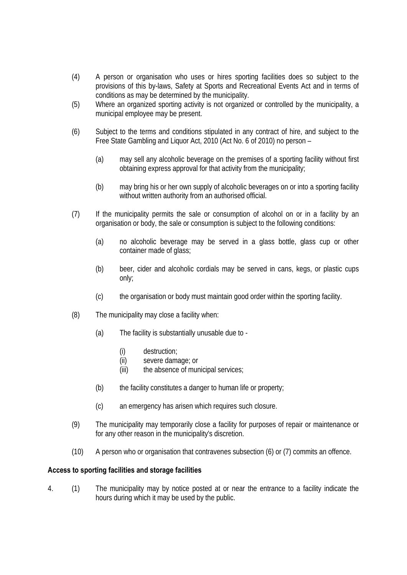- (4) A person or organisation who uses or hires sporting facilities does so subject to the provisions of this by-laws, Safety at Sports and Recreational Events Act and in terms of conditions as may be determined by the municipality.
- (5) Where an organized sporting activity is not organized or controlled by the municipality, a municipal employee may be present.
- (6) Subject to the terms and conditions stipulated in any contract of hire, and subject to the Free State Gambling and Liquor Act, 2010 (Act No. 6 of 2010) no person –
	- (a) may sell any alcoholic beverage on the premises of a sporting facility without first obtaining express approval for that activity from the municipality;
	- (b) may bring his or her own supply of alcoholic beverages on or into a sporting facility without written authority from an authorised official.
- (7) If the municipality permits the sale or consumption of alcohol on or in a facility by an organisation or body, the sale or consumption is subject to the following conditions:
	- (a) no alcoholic beverage may be served in a glass bottle, glass cup or other container made of glass:
	- (b) beer, cider and alcoholic cordials may be served in cans, kegs, or plastic cups only;
	- (c) the organisation or body must maintain good order within the sporting facility.
- (8) The municipality may close a facility when:
	- (a) The facility is substantially unusable due to
		- (i) destruction;
		- (ii) severe damage; or
		- (iii) the absence of municipal services;
	- $(b)$  the facility constitutes a danger to human life or property;
	- (c) an emergency has arisen which requires such closure.
- (9) The municipality may temporarily close a facility for purposes of repair or maintenance or for any other reason in the municipality's discretion.
- (10) A person who or organisation that contravenes subsection (6) or (7) commits an offence.

#### **Access to sporting facilities and storage facilities**

4. (1) The municipality may by notice posted at or near the entrance to a facility indicate the hours during which it may be used by the public.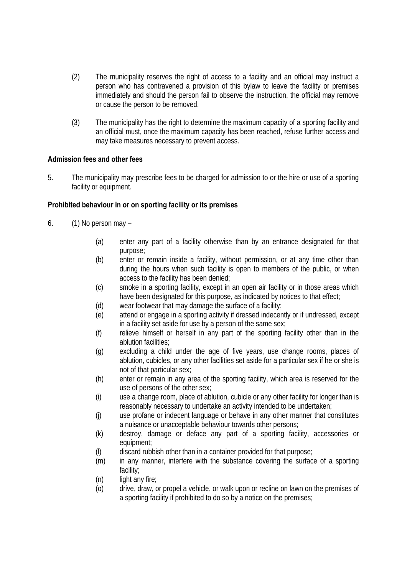- (2) The municipality reserves the right of access to a facility and an official may instruct a person who has contravened a provision of this bylaw to leave the facility or premises immediately and should the person fail to observe the instruction, the official may remove or cause the person to be removed.
- (3) The municipality has the right to determine the maximum capacity of a sporting facility and an official must, once the maximum capacity has been reached, refuse further access and may take measures necessary to prevent access.

#### **Admission fees and other fees**

5. The municipality may prescribe fees to be charged for admission to or the hire or use of a sporting facility or equipment.

## **Prohibited behaviour in or on sporting facility or its premises**

- 6. (1) No person may
	- (a) enter any part of a facility otherwise than by an entrance designated for that purpose;
	- (b) enter or remain inside a facility, without permission, or at any time other than during the hours when such facility is open to members of the public, or when access to the facility has been denied;
	- (c) smoke in a sporting facility, except in an open air facility or in those areas which have been designated for this purpose, as indicated by notices to that effect;
	- (d) wear footwear that may damage the surface of a facility;
	- (e) attend or engage in a sporting activity if dressed indecently or if undressed, except in a facility set aside for use by a person of the same sex;
	- (f) relieve himself or herself in any part of the sporting facility other than in the ablution facilities;
	- (g) excluding a child under the age of five years, use change rooms, places of ablution, cubicles, or any other facilities set aside for a particular sex if he or she is not of that particular sex;
	- (h) enter or remain in any area of the sporting facility, which area is reserved for the use of persons of the other sex;
	- (i) use a change room, place of ablution, cubicle or any other facility for longer than is reasonably necessary to undertake an activity intended to be undertaken;
	- (j) use profane or indecent language or behave in any other manner that constitutes a nuisance or unacceptable behaviour towards other persons;
	- (k) destroy, damage or deface any part of a sporting facility, accessories or equipment;
	- (l) discard rubbish other than in a container provided for that purpose;
	- (m) in any manner, interfere with the substance covering the surface of a sporting facility;
	- (n) light any fire;
	- (o) drive, draw, or propel a vehicle, or walk upon or recline on lawn on the premises of a sporting facility if prohibited to do so by a notice on the premises;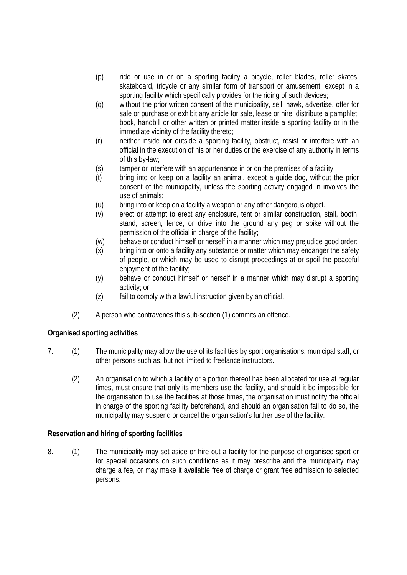- (p) ride or use in or on a sporting facility a bicycle, roller blades, roller skates, skateboard, tricycle or any similar form of transport or amusement, except in a sporting facility which specifically provides for the riding of such devices;
- (q) without the prior written consent of the municipality, sell, hawk, advertise, offer for sale or purchase or exhibit any article for sale, lease or hire, distribute a pamphlet, book, handbill or other written or printed matter inside a sporting facility or in the immediate vicinity of the facility thereto;
- (r) neither inside nor outside a sporting facility, obstruct, resist or interfere with an official in the execution of his or her duties or the exercise of any authority in terms of this by-law;
- (s) tamper or interfere with an appurtenance in or on the premises of a facility;
- (t) bring into or keep on a facility an animal, except a guide dog, without the prior consent of the municipality, unless the sporting activity engaged in involves the use of animals;
- (u) bring into or keep on a facility a weapon or any other dangerous object.
- (v) erect or attempt to erect any enclosure, tent or similar construction, stall, booth, stand, screen, fence, or drive into the ground any peg or spike without the permission of the official in charge of the facility;
- (w) behave or conduct himself or herself in a manner which may prejudice good order;
- (x) bring into or onto a facility any substance or matter which may endanger the safety of people, or which may be used to disrupt proceedings at or spoil the peaceful enjoyment of the facility;
- (y) behave or conduct himself or herself in a manner which may disrupt a sporting activity; or
- (z) fail to comply with a lawful instruction given by an official.
- (2) A person who contravenes this sub-section (1) commits an offence.

## **Organised sporting activities**

- 7. (1) The municipality may allow the use of its facilities by sport organisations, municipal staff, or other persons such as, but not limited to freelance instructors.
	- (2) An organisation to which a facility or a portion thereof has been allocated for use at regular times, must ensure that only its members use the facility, and should it be impossible for the organisation to use the facilities at those times, the organisation must notify the official in charge of the sporting facility beforehand, and should an organisation fail to do so, the municipality may suspend or cancel the organisation's further use of the facility.

#### **Reservation and hiring of sporting facilities**

8. (1) The municipality may set aside or hire out a facility for the purpose of organised sport or for special occasions on such conditions as it may prescribe and the municipality may charge a fee, or may make it available free of charge or grant free admission to selected persons.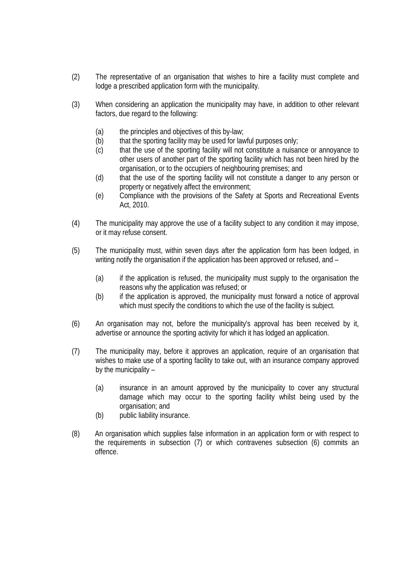- (2) The representative of an organisation that wishes to hire a facility must complete and lodge a prescribed application form with the municipality.
- (3) When considering an application the municipality may have, in addition to other relevant factors, due regard to the following:
	- (a) the principles and objectives of this by-law;
	- (b) that the sporting facility may be used for lawful purposes only;
	- (c) that the use of the sporting facility will not constitute a nuisance or annoyance to other users of another part of the sporting facility which has not been hired by the organisation, or to the occupiers of neighbouring premises; and
	- (d) that the use of the sporting facility will not constitute a danger to any person or property or negatively affect the environment;
	- (e) Compliance with the provisions of the Safety at Sports and Recreational Events Act, 2010.
- (4) The municipality may approve the use of a facility subject to any condition it may impose, or it may refuse consent.
- (5) The municipality must, within seven days after the application form has been lodged, in writing notify the organisation if the application has been approved or refused, and –
	- (a) if the application is refused, the municipality must supply to the organisation the reasons why the application was refused; or
	- (b) if the application is approved, the municipality must forward a notice of approval which must specify the conditions to which the use of the facility is subject.
- (6) An organisation may not, before the municipality's approval has been received by it, advertise or announce the sporting activity for which it has lodged an application.
- (7) The municipality may, before it approves an application, require of an organisation that wishes to make use of a sporting facility to take out, with an insurance company approved by the municipality –
	- (a) insurance in an amount approved by the municipality to cover any structural damage which may occur to the sporting facility whilst being used by the organisation; and
	- (b) public liability insurance.
- (8) An organisation which supplies false information in an application form or with respect to the requirements in subsection (7) or which contravenes subsection (6) commits an offence.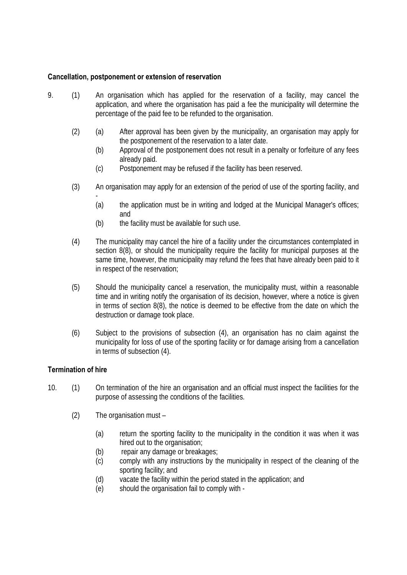### **Cancellation, postponement or extension of reservation**

- 9. (1) An organisation which has applied for the reservation of a facility, may cancel the application, and where the organisation has paid a fee the municipality will determine the percentage of the paid fee to be refunded to the organisation.
	- (2) (a) After approval has been given by the municipality, an organisation may apply for the postponement of the reservation to a later date.
		- (b) Approval of the postponement does not result in a penalty or forfeiture of any fees already paid.
		- (c) Postponement may be refused if the facility has been reserved.
	- (3) An organisation may apply for an extension of the period of use of the sporting facility, and
		- (a) the application must be in writing and lodged at the Municipal Manager's offices; and
		- (b) the facility must be available for such use.
	- (4) The municipality may cancel the hire of a facility under the circumstances contemplated in section 8(8), or should the municipality require the facility for municipal purposes at the same time, however, the municipality may refund the fees that have already been paid to it in respect of the reservation;
	- (5) Should the municipality cancel a reservation, the municipality must, within a reasonable time and in writing notify the organisation of its decision, however, where a notice is given in terms of section 8(8), the notice is deemed to be effective from the date on which the destruction or damage took place.
	- (6) Subject to the provisions of subsection (4), an organisation has no claim against the municipality for loss of use of the sporting facility or for damage arising from a cancellation in terms of subsection (4).

#### **Termination of hire**

- 10. (1) On termination of the hire an organisation and an official must inspect the facilities for the purpose of assessing the conditions of the facilities.
	- (2) The organisation must
		- (a) return the sporting facility to the municipality in the condition it was when it was hired out to the organisation;
		- (b) repair any damage or breakages;
		- (c) comply with any instructions by the municipality in respect of the cleaning of the sporting facility; and
		- (d) vacate the facility within the period stated in the application; and
		- (e) should the organisation fail to comply with -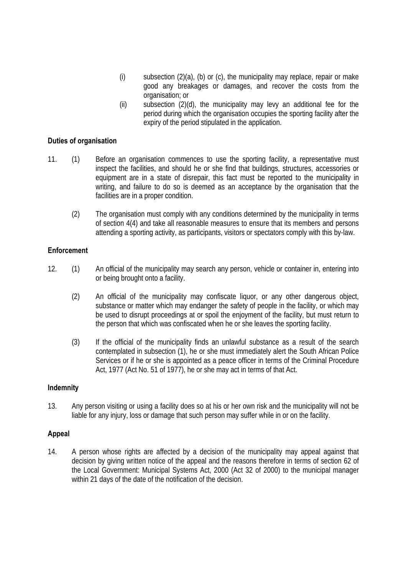- (i) subsection (2)(a), (b) or (c), the municipality may replace, repair or make good any breakages or damages, and recover the costs from the organisation; or
- (ii) subsection (2)(d), the municipality may levy an additional fee for the period during which the organisation occupies the sporting facility after the expiry of the period stipulated in the application.

#### **Duties of organisation**

- 11. (1) Before an organisation commences to use the sporting facility, a representative must inspect the facilities, and should he or she find that buildings, structures, accessories or equipment are in a state of disrepair, this fact must be reported to the municipality in writing, and failure to do so is deemed as an acceptance by the organisation that the facilities are in a proper condition.
	- (2) The organisation must comply with any conditions determined by the municipality in terms of section 4(4) and take all reasonable measures to ensure that its members and persons attending a sporting activity, as participants, visitors or spectators comply with this by-law.

#### **Enforcement**

- 12. (1) An official of the municipality may search any person, vehicle or container in, entering into or being brought onto a facility.
	- (2) An official of the municipality may confiscate liquor, or any other dangerous object, substance or matter which may endanger the safety of people in the facility, or which may be used to disrupt proceedings at or spoil the enjoyment of the facility, but must return to the person that which was confiscated when he or she leaves the sporting facility.
	- (3) If the official of the municipality finds an unlawful substance as a result of the search contemplated in subsection (1), he or she must immediately alert the South African Police Services or if he or she is appointed as a peace officer in terms of the Criminal Procedure Act, 1977 (Act No. 51 of 1977), he or she may act in terms of that Act.

#### **Indemnity**

13. Any person visiting or using a facility does so at his or her own risk and the municipality will not be liable for any injury, loss or damage that such person may suffer while in or on the facility.

#### **Appeal**

14. A person whose rights are affected by a decision of the municipality may appeal against that decision by giving written notice of the appeal and the reasons therefore in terms of section 62 of the Local Government: Municipal Systems Act, 2000 (Act 32 of 2000) to the municipal manager within 21 days of the date of the notification of the decision.